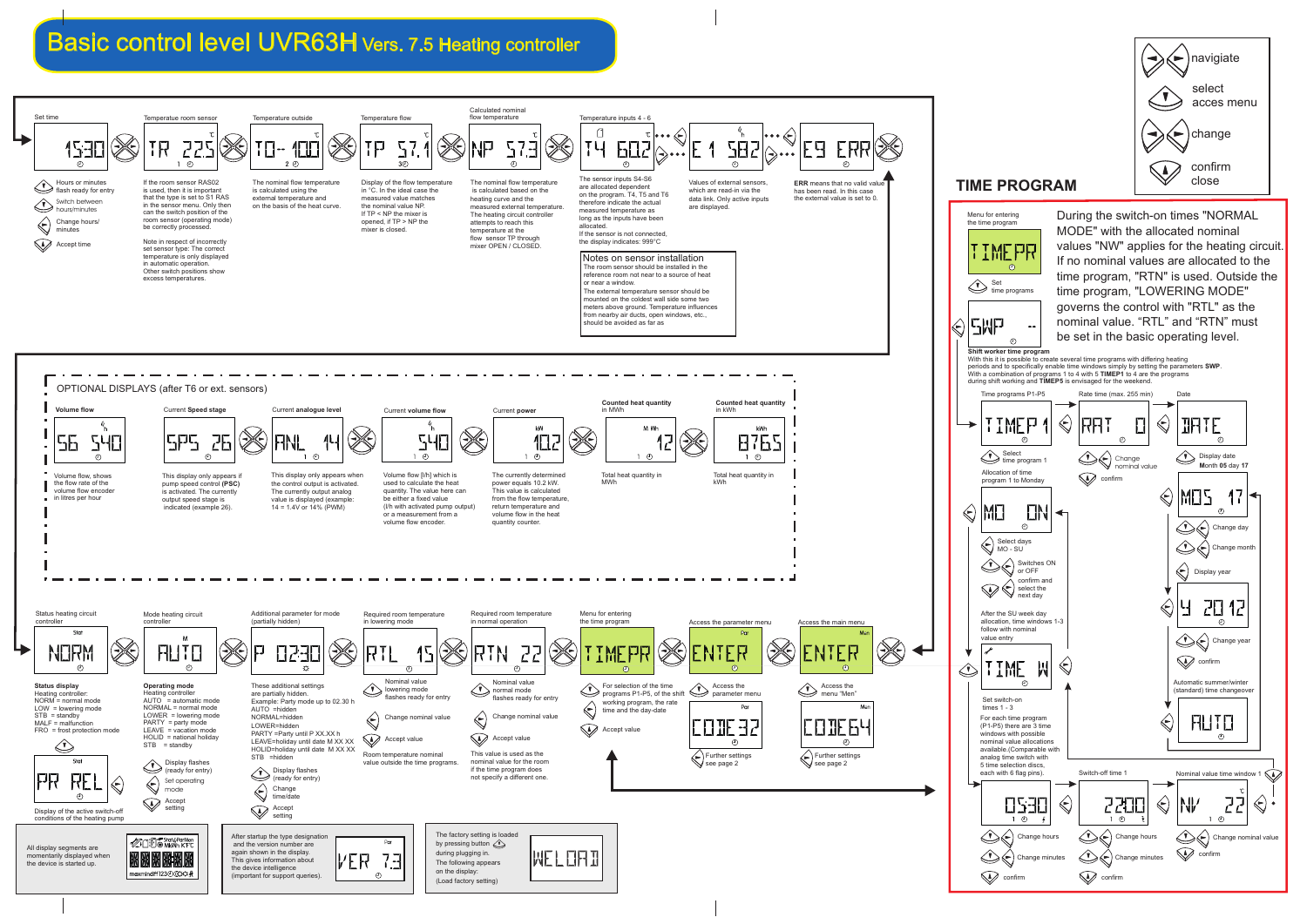



## Basic control level UVR63H Vers. 7.5 Heating controller